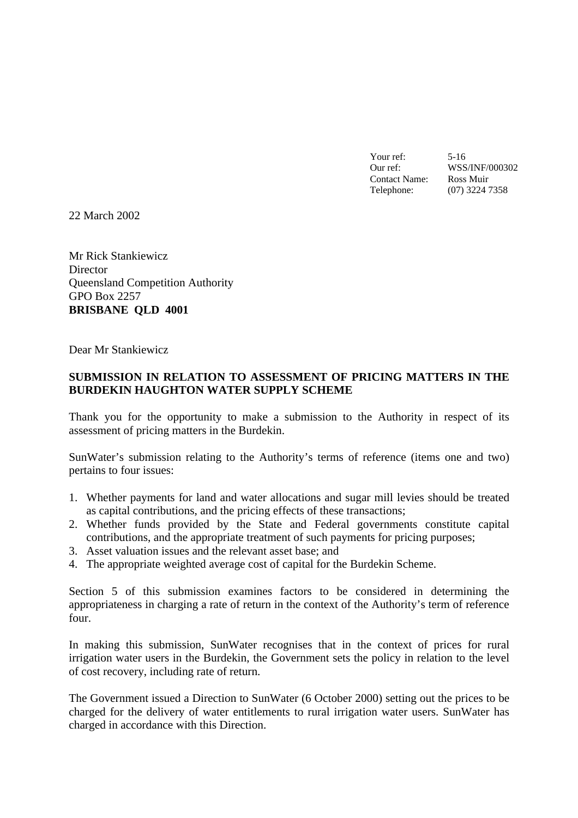Your ref: 5-16 Our ref: WSS/INF/000302 Contact Name: Ross Muir Telephone: (07) 3224 7358

22 March 2002

Mr Rick Stankiewicz **Director** Queensland Competition Authority GPO Box 2257 **BRISBANE QLD 4001**

Dear Mr Stankiewicz

#### **SUBMISSION IN RELATION TO ASSESSMENT OF PRICING MATTERS IN THE BURDEKIN HAUGHTON WATER SUPPLY SCHEME**

Thank you for the opportunity to make a submission to the Authority in respect of its assessment of pricing matters in the Burdekin.

SunWater's submission relating to the Authority's terms of reference (items one and two) pertains to four issues:

- 1. Whether payments for land and water allocations and sugar mill levies should be treated as capital contributions, and the pricing effects of these transactions;
- 2. Whether funds provided by the State and Federal governments constitute capital contributions, and the appropriate treatment of such payments for pricing purposes;
- 3. Asset valuation issues and the relevant asset base; and
- 4. The appropriate weighted average cost of capital for the Burdekin Scheme.

Section 5 of this submission examines factors to be considered in determining the appropriateness in charging a rate of return in the context of the Authority's term of reference four.

In making this submission, SunWater recognises that in the context of prices for rural irrigation water users in the Burdekin, the Government sets the policy in relation to the level of cost recovery, including rate of return.

The Government issued a Direction to SunWater (6 October 2000) setting out the prices to be charged for the delivery of water entitlements to rural irrigation water users. SunWater has charged in accordance with this Direction.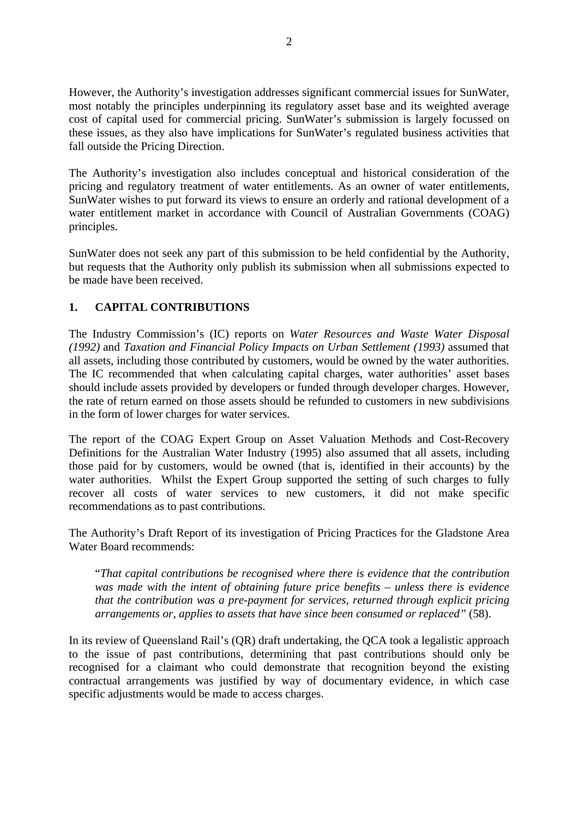However, the Authority's investigation addresses significant commercial issues for SunWater, most notably the principles underpinning its regulatory asset base and its weighted average cost of capital used for commercial pricing. SunWater's submission is largely focussed on these issues, as they also have implications for SunWater's regulated business activities that fall outside the Pricing Direction.

The Authority's investigation also includes conceptual and historical consideration of the pricing and regulatory treatment of water entitlements. As an owner of water entitlements, SunWater wishes to put forward its views to ensure an orderly and rational development of a water entitlement market in accordance with Council of Australian Governments (COAG) principles.

SunWater does not seek any part of this submission to be held confidential by the Authority, but requests that the Authority only publish its submission when all submissions expected to be made have been received.

# **1. CAPITAL CONTRIBUTIONS**

The Industry Commission's (IC) reports on *Water Resources and Waste Water Disposal (1992)* and *Taxation and Financial Policy Impacts on Urban Settlement (1993)* assumed that all assets, including those contributed by customers, would be owned by the water authorities. The IC recommended that when calculating capital charges, water authorities' asset bases should include assets provided by developers or funded through developer charges. However, the rate of return earned on those assets should be refunded to customers in new subdivisions in the form of lower charges for water services.

The report of the COAG Expert Group on Asset Valuation Methods and Cost-Recovery Definitions for the Australian Water Industry (1995) also assumed that all assets, including those paid for by customers, would be owned (that is, identified in their accounts) by the water authorities. Whilst the Expert Group supported the setting of such charges to fully recover all costs of water services to new customers, it did not make specific recommendations as to past contributions.

The Authority's Draft Report of its investigation of Pricing Practices for the Gladstone Area Water Board recommends:

"*That capital contributions be recognised where there is evidence that the contribution was made with the intent of obtaining future price benefits – unless there is evidence that the contribution was a pre-payment for services, returned through explicit pricing arrangements or, applies to assets that have since been consumed or replaced"* (58).

In its review of Queensland Rail's (QR) draft undertaking, the QCA took a legalistic approach to the issue of past contributions, determining that past contributions should only be recognised for a claimant who could demonstrate that recognition beyond the existing contractual arrangements was justified by way of documentary evidence, in which case specific adjustments would be made to access charges.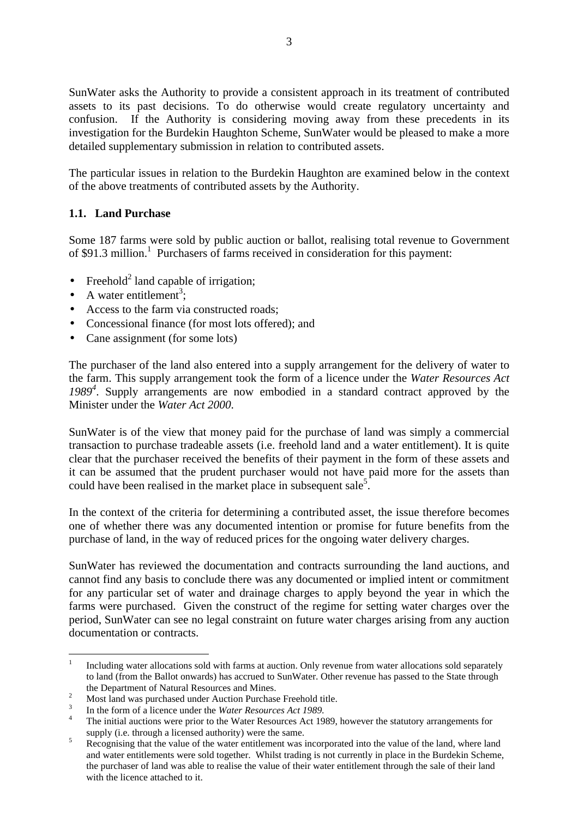SunWater asks the Authority to provide a consistent approach in its treatment of contributed assets to its past decisions. To do otherwise would create regulatory uncertainty and confusion. If the Authority is considering moving away from these precedents in its investigation for the Burdekin Haughton Scheme, SunWater would be pleased to make a more detailed supplementary submission in relation to contributed assets.

The particular issues in relation to the Burdekin Haughton are examined below in the context of the above treatments of contributed assets by the Authority.

## **1.1. Land Purchase**

Some 187 farms were sold by public auction or ballot, realising total revenue to Government of \$91.3 million.<sup>1</sup> Purchasers of farms received in consideration for this payment:

- Freehold<sup>2</sup> land capable of irrigation;
- A water entitlement<sup>3</sup>;
- Access to the farm via constructed roads:
- Concessional finance (for most lots offered); and
- Cane assignment (for some lots)

The purchaser of the land also entered into a supply arrangement for the delivery of water to the farm. This supply arrangement took the form of a licence under the *Water Resources Act 1989<sup>4</sup>* . Supply arrangements are now embodied in a standard contract approved by the Minister under the *Water Act 2000*.

SunWater is of the view that money paid for the purchase of land was simply a commercial transaction to purchase tradeable assets (i.e. freehold land and a water entitlement). It is quite clear that the purchaser received the benefits of their payment in the form of these assets and it can be assumed that the prudent purchaser would not have paid more for the assets than could have been realised in the market place in subsequent sale<sup>5</sup>.

In the context of the criteria for determining a contributed asset, the issue therefore becomes one of whether there was any documented intention or promise for future benefits from the purchase of land, in the way of reduced prices for the ongoing water delivery charges.

SunWater has reviewed the documentation and contracts surrounding the land auctions, and cannot find any basis to conclude there was any documented or implied intent or commitment for any particular set of water and drainage charges to apply beyond the year in which the farms were purchased. Given the construct of the regime for setting water charges over the period, SunWater can see no legal constraint on future water charges arising from any auction documentation or contracts.

 $\frac{1}{1}$ Including water allocations sold with farms at auction. Only revenue from water allocations sold separately to land (from the Ballot onwards) has accrued to SunWater. Other revenue has passed to the State through the Department of Natural Resources and Mines.

<sup>&</sup>lt;sup>2</sup> Most land was purchased under Auction Purchase Freehold title.

<sup>3</sup> In the form of a licence under the *Water Resources Act 1989*.

<sup>&</sup>lt;sup>4</sup> The initial auctions were prior to the Water Resources Act 1989, however the statutory arrangements for supply (i.e. through a licensed authority) were the same.

<sup>&</sup>lt;sup>5</sup> Recognising that the value of the water entitlement was incorporated into the value of the land, where land and water entitlements were sold together. Whilst trading is not currently in place in the Burdekin Scheme, the purchaser of land was able to realise the value of their water entitlement through the sale of their land with the licence attached to it.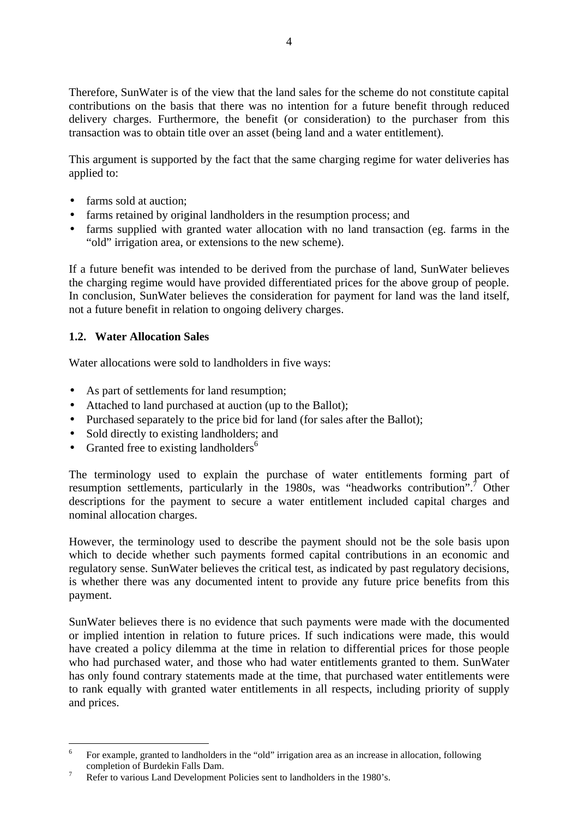Therefore, SunWater is of the view that the land sales for the scheme do not constitute capital contributions on the basis that there was no intention for a future benefit through reduced delivery charges. Furthermore, the benefit (or consideration) to the purchaser from this transaction was to obtain title over an asset (being land and a water entitlement).

This argument is supported by the fact that the same charging regime for water deliveries has applied to:

- farms sold at auction:
- farms retained by original landholders in the resumption process; and
- farms supplied with granted water allocation with no land transaction (eg. farms in the "old" irrigation area, or extensions to the new scheme).

If a future benefit was intended to be derived from the purchase of land, SunWater believes the charging regime would have provided differentiated prices for the above group of people. In conclusion, SunWater believes the consideration for payment for land was the land itself, not a future benefit in relation to ongoing delivery charges.

## **1.2. Water Allocation Sales**

Water allocations were sold to landholders in five ways:

- As part of settlements for land resumption;
- Attached to land purchased at auction (up to the Ballot);
- Purchased separately to the price bid for land (for sales after the Ballot);
- Sold directly to existing landholders; and
- Granted free to existing landholders<sup>6</sup>

The terminology used to explain the purchase of water entitlements forming part of resumption settlements, particularly in the 1980s, was "headworks contribution".<sup>7</sup> Other descriptions for the payment to secure a water entitlement included capital charges and nominal allocation charges.

However, the terminology used to describe the payment should not be the sole basis upon which to decide whether such payments formed capital contributions in an economic and regulatory sense. SunWater believes the critical test, as indicated by past regulatory decisions, is whether there was any documented intent to provide any future price benefits from this payment.

SunWater believes there is no evidence that such payments were made with the documented or implied intention in relation to future prices. If such indications were made, this would have created a policy dilemma at the time in relation to differential prices for those people who had purchased water, and those who had water entitlements granted to them. SunWater has only found contrary statements made at the time, that purchased water entitlements were to rank equally with granted water entitlements in all respects, including priority of supply and prices.

 6 For example, granted to landholders in the "old" irrigation area as an increase in allocation, following completion of Burdekin Falls Dam.

<sup>7</sup> Refer to various Land Development Policies sent to landholders in the 1980's.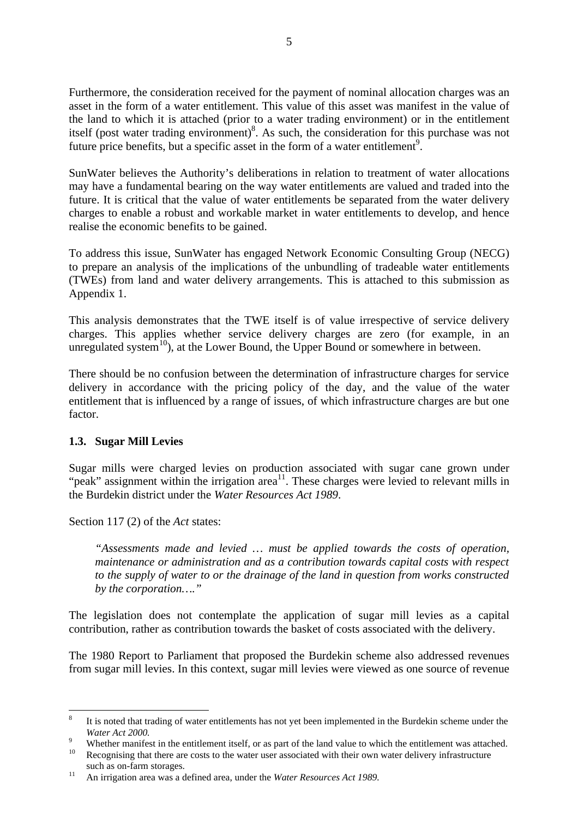Furthermore, the consideration received for the payment of nominal allocation charges was an asset in the form of a water entitlement. This value of this asset was manifest in the value of the land to which it is attached (prior to a water trading environment) or in the entitlement itself (post water trading environment)<sup>8</sup>. As such, the consideration for this purchase was not future price benefits, but a specific asset in the form of a water entitlement<sup>9</sup>.

SunWater believes the Authority's deliberations in relation to treatment of water allocations may have a fundamental bearing on the way water entitlements are valued and traded into the future. It is critical that the value of water entitlements be separated from the water delivery charges to enable a robust and workable market in water entitlements to develop, and hence realise the economic benefits to be gained.

To address this issue, SunWater has engaged Network Economic Consulting Group (NECG) to prepare an analysis of the implications of the unbundling of tradeable water entitlements (TWEs) from land and water delivery arrangements. This is attached to this submission as Appendix 1.

This analysis demonstrates that the TWE itself is of value irrespective of service delivery charges. This applies whether service delivery charges are zero (for example, in an unregulated system<sup>10</sup>), at the Lower Bound, the Upper Bound or somewhere in between.

There should be no confusion between the determination of infrastructure charges for service delivery in accordance with the pricing policy of the day, and the value of the water entitlement that is influenced by a range of issues, of which infrastructure charges are but one factor.

## **1.3. Sugar Mill Levies**

Sugar mills were charged levies on production associated with sugar cane grown under "peak" assignment within the irrigation area<sup>11</sup>. These charges were levied to relevant mills in the Burdekin district under the *Water Resources Act 1989*.

Section 117 (2) of the *Act* states:

*"Assessments made and levied … must be applied towards the costs of operation, maintenance or administration and as a contribution towards capital costs with respect to the supply of water to or the drainage of the land in question from works constructed by the corporation…."*

The legislation does not contemplate the application of sugar mill levies as a capital contribution, rather as contribution towards the basket of costs associated with the delivery.

The 1980 Report to Parliament that proposed the Burdekin scheme also addressed revenues from sugar mill levies. In this context, sugar mill levies were viewed as one source of revenue

 8 It is noted that trading of water entitlements has not yet been implemented in the Burdekin scheme under the *Water Act 2000.*

<sup>&</sup>lt;sup>9</sup> Whether manifest in the entitlement itself, or as part of the land value to which the entitlement was attached. <sup>10</sup> Recognising that there are costs to the water user associated with their own water delivery infrastructure such as on-farm storages.

<sup>11</sup> An irrigation area was a defined area, under the *Water Resources Act 1989.*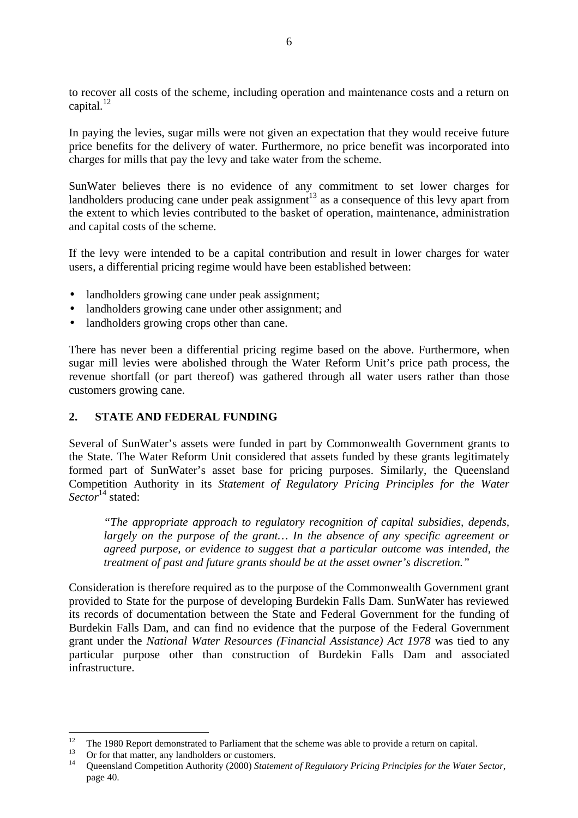to recover all costs of the scheme, including operation and maintenance costs and a return on capital.<sup>12</sup>

In paying the levies, sugar mills were not given an expectation that they would receive future price benefits for the delivery of water. Furthermore, no price benefit was incorporated into charges for mills that pay the levy and take water from the scheme.

SunWater believes there is no evidence of any commitment to set lower charges for landholders producing cane under peak assignment<sup>13</sup> as a consequence of this levy apart from the extent to which levies contributed to the basket of operation, maintenance, administration and capital costs of the scheme.

If the levy were intended to be a capital contribution and result in lower charges for water users, a differential pricing regime would have been established between:

- landholders growing cane under peak assignment;
- landholders growing cane under other assignment; and
- landholders growing crops other than cane.

There has never been a differential pricing regime based on the above. Furthermore, when sugar mill levies were abolished through the Water Reform Unit's price path process, the revenue shortfall (or part thereof) was gathered through all water users rather than those customers growing cane.

#### **2. STATE AND FEDERAL FUNDING**

Several of SunWater's assets were funded in part by Commonwealth Government grants to the State. The Water Reform Unit considered that assets funded by these grants legitimately formed part of SunWater's asset base for pricing purposes. Similarly, the Queensland Competition Authority in its *Statement of Regulatory Pricing Principles for the Water Sector*<sup>14</sup> stated:

*"The appropriate approach to regulatory recognition of capital subsidies, depends, largely on the purpose of the grant… In the absence of any specific agreement or agreed purpose, or evidence to suggest that a particular outcome was intended, the treatment of past and future grants should be at the asset owner's discretion."*

Consideration is therefore required as to the purpose of the Commonwealth Government grant provided to State for the purpose of developing Burdekin Falls Dam. SunWater has reviewed its records of documentation between the State and Federal Government for the funding of Burdekin Falls Dam, and can find no evidence that the purpose of the Federal Government grant under the *National Water Resources (Financial Assistance) Act 1978* was tied to any particular purpose other than construction of Burdekin Falls Dam and associated infrastructure.

 $12<sup>12</sup>$ <sup>12</sup> The 1980 Report demonstrated to Parliament that the scheme was able to provide a return on capital.

Or for that matter, any landholders or customers.

<sup>14</sup> Queensland Competition Authority (2000) *Statement of Regulatory Pricing Principles for the Water Sector*, page 40.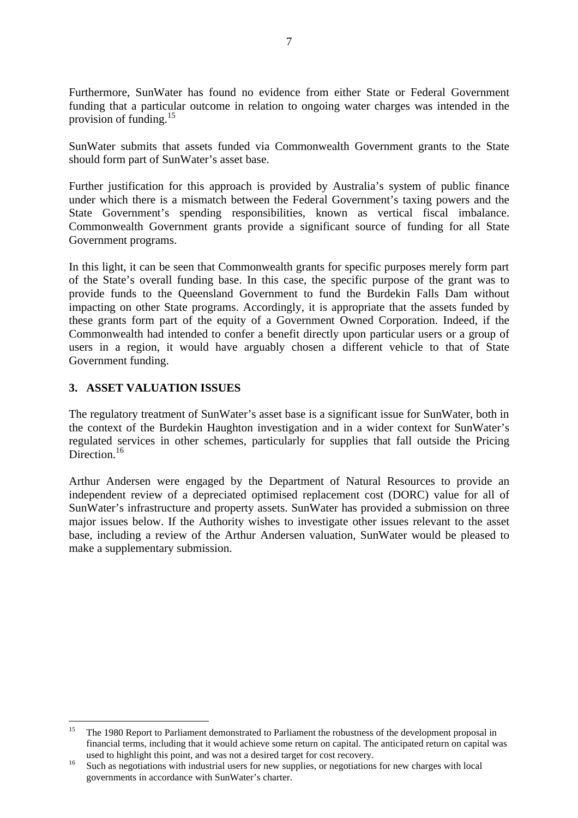Furthermore, SunWater has found no evidence from either State or Federal Government funding that a particular outcome in relation to ongoing water charges was intended in the provision of funding.<sup>15</sup>

SunWater submits that assets funded via Commonwealth Government grants to the State should form part of SunWater's asset base.

Further justification for this approach is provided by Australia's system of public finance under which there is a mismatch between the Federal Government's taxing powers and the State Government's spending responsibilities, known as vertical fiscal imbalance. Commonwealth Government grants provide a significant source of funding for all State Government programs.

In this light, it can be seen that Commonwealth grants for specific purposes merely form part of the State's overall funding base. In this case, the specific purpose of the grant was to provide funds to the Queensland Government to fund the Burdekin Falls Dam without impacting on other State programs. Accordingly, it is appropriate that the assets funded by these grants form part of the equity of a Government Owned Corporation. Indeed, if the Commonwealth had intended to confer a benefit directly upon particular users or a group of users in a region, it would have arguably chosen a different vehicle to that of State Government funding.

#### **3. ASSET VALUATION ISSUES**

The regulatory treatment of SunWater's asset base is a significant issue for SunWater, both in the context of the Burdekin Haughton investigation and in a wider context for SunWater's regulated services in other schemes, particularly for supplies that fall outside the Pricing Direction<sup>16</sup>

Arthur Andersen were engaged by the Department of Natural Resources to provide an independent review of a depreciated optimised replacement cost (DORC) value for all of SunWater's infrastructure and property assets. SunWater has provided a submission on three major issues below. If the Authority wishes to investigate other issues relevant to the asset base, including a review of the Arthur Andersen valuation, SunWater would be pleased to make a supplementary submission.

 $15$ <sup>15</sup> The 1980 Report to Parliament demonstrated to Parliament the robustness of the development proposal in financial terms, including that it would achieve some return on capital. The anticipated return on capital was used to highlight this point, and was not a desired target for cost recovery.

<sup>&</sup>lt;sup>16</sup> Such as negotiations with industrial users for new supplies, or negotiations for new charges with local governments in accordance with SunWater's charter.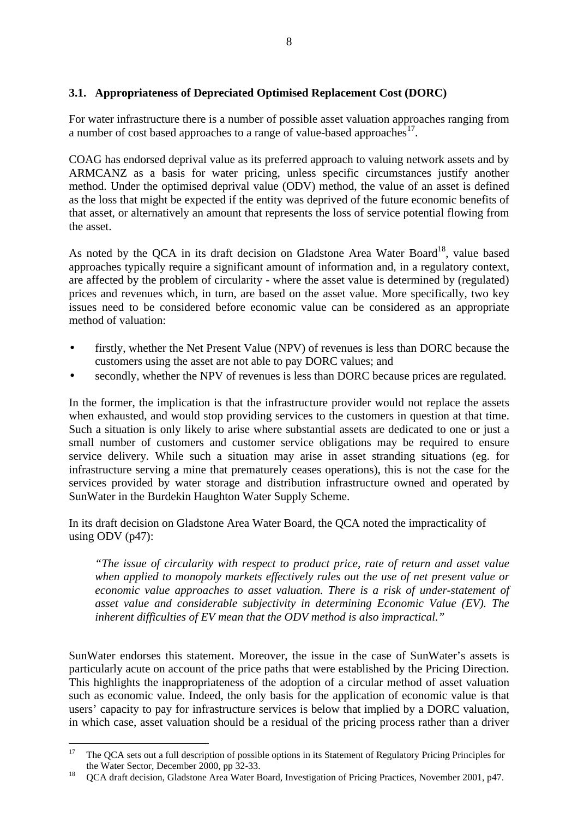# **3.1. Appropriateness of Depreciated Optimised Replacement Cost (DORC)**

For water infrastructure there is a number of possible asset valuation approaches ranging from a number of cost based approaches to a range of value-based approaches<sup>17</sup>.

COAG has endorsed deprival value as its preferred approach to valuing network assets and by ARMCANZ as a basis for water pricing, unless specific circumstances justify another method. Under the optimised deprival value (ODV) method, the value of an asset is defined as the loss that might be expected if the entity was deprived of the future economic benefits of that asset, or alternatively an amount that represents the loss of service potential flowing from the asset.

As noted by the OCA in its draft decision on Gladstone Area Water Board<sup>18</sup>, value based approaches typically require a significant amount of information and, in a regulatory context, are affected by the problem of circularity - where the asset value is determined by (regulated) prices and revenues which, in turn, are based on the asset value. More specifically, two key issues need to be considered before economic value can be considered as an appropriate method of valuation:

- firstly, whether the Net Present Value (NPV) of revenues is less than DORC because the customers using the asset are not able to pay DORC values; and
- secondly, whether the NPV of revenues is less than DORC because prices are regulated.

In the former, the implication is that the infrastructure provider would not replace the assets when exhausted, and would stop providing services to the customers in question at that time. Such a situation is only likely to arise where substantial assets are dedicated to one or just a small number of customers and customer service obligations may be required to ensure service delivery. While such a situation may arise in asset stranding situations (eg. for infrastructure serving a mine that prematurely ceases operations), this is not the case for the services provided by water storage and distribution infrastructure owned and operated by SunWater in the Burdekin Haughton Water Supply Scheme.

In its draft decision on Gladstone Area Water Board, the QCA noted the impracticality of using ODV (p47):

*"The issue of circularity with respect to product price, rate of return and asset value when applied to monopoly markets effectively rules out the use of net present value or economic value approaches to asset valuation. There is a risk of under-statement of asset value and considerable subjectivity in determining Economic Value (EV). The inherent difficulties of EV mean that the ODV method is also impractical."*

SunWater endorses this statement. Moreover, the issue in the case of SunWater's assets is particularly acute on account of the price paths that were established by the Pricing Direction. This highlights the inappropriateness of the adoption of a circular method of asset valuation such as economic value. Indeed, the only basis for the application of economic value is that users' capacity to pay for infrastructure services is below that implied by a DORC valuation, in which case, asset valuation should be a residual of the pricing process rather than a driver

<sup>17</sup> <sup>17</sup> The QCA sets out a full description of possible options in its Statement of Regulatory Pricing Principles for the Water Sector, December 2000, pp 32-33.

<sup>&</sup>lt;sup>18</sup> OCA draft decision, Gladstone Area Water Board, Investigation of Pricing Practices, November 2001, p47.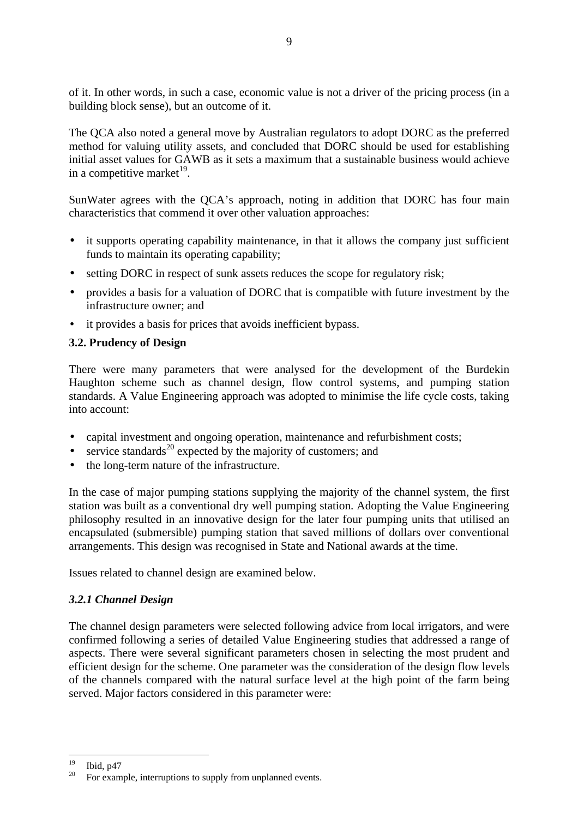of it. In other words, in such a case, economic value is not a driver of the pricing process (in a building block sense), but an outcome of it.

9

The QCA also noted a general move by Australian regulators to adopt DORC as the preferred method for valuing utility assets, and concluded that DORC should be used for establishing initial asset values for GAWB as it sets a maximum that a sustainable business would achieve in a competitive market $^{19}$ .

SunWater agrees with the QCA's approach, noting in addition that DORC has four main characteristics that commend it over other valuation approaches:

- it supports operating capability maintenance, in that it allows the company just sufficient funds to maintain its operating capability;
- setting DORC in respect of sunk assets reduces the scope for regulatory risk;
- provides a basis for a valuation of DORC that is compatible with future investment by the infrastructure owner; and
- it provides a basis for prices that avoids inefficient bypass.

## **3.2. Prudency of Design**

There were many parameters that were analysed for the development of the Burdekin Haughton scheme such as channel design, flow control systems, and pumping station standards. A Value Engineering approach was adopted to minimise the life cycle costs, taking into account:

- capital investment and ongoing operation, maintenance and refurbishment costs;
- service standards<sup>20</sup> expected by the majority of customers; and
- the long-term nature of the infrastructure.

In the case of major pumping stations supplying the majority of the channel system, the first station was built as a conventional dry well pumping station. Adopting the Value Engineering philosophy resulted in an innovative design for the later four pumping units that utilised an encapsulated (submersible) pumping station that saved millions of dollars over conventional arrangements. This design was recognised in State and National awards at the time.

Issues related to channel design are examined below.

## *3.2.1 Channel Design*

19

The channel design parameters were selected following advice from local irrigators, and were confirmed following a series of detailed Value Engineering studies that addressed a range of aspects. There were several significant parameters chosen in selecting the most prudent and efficient design for the scheme. One parameter was the consideration of the design flow levels of the channels compared with the natural surface level at the high point of the farm being served. Major factors considered in this parameter were:

 $\frac{19}{20}$  Ibid, p47 For example, interruptions to supply from unplanned events.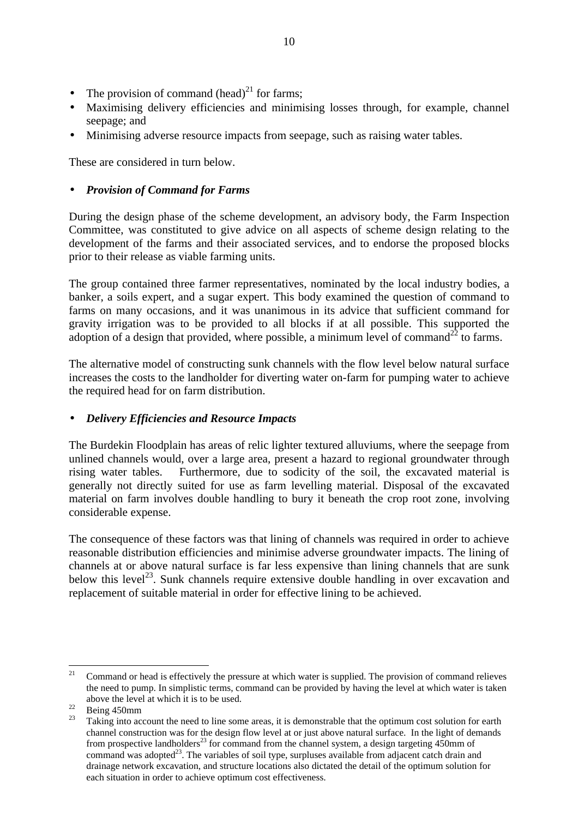- The provision of command  $(head)^{21}$  for farms;
- Maximising delivery efficiencies and minimising losses through, for example, channel seepage; and
- Minimising adverse resource impacts from seepage, such as raising water tables.

These are considered in turn below.

# • *Provision of Command for Farms*

During the design phase of the scheme development, an advisory body, the Farm Inspection Committee, was constituted to give advice on all aspects of scheme design relating to the development of the farms and their associated services, and to endorse the proposed blocks prior to their release as viable farming units.

The group contained three farmer representatives, nominated by the local industry bodies, a banker, a soils expert, and a sugar expert. This body examined the question of command to farms on many occasions, and it was unanimous in its advice that sufficient command for gravity irrigation was to be provided to all blocks if at all possible. This supported the adoption of a design that provided, where possible, a minimum level of command<sup>22</sup> to farms.

The alternative model of constructing sunk channels with the flow level below natural surface increases the costs to the landholder for diverting water on-farm for pumping water to achieve the required head for on farm distribution.

## • *Delivery Efficiencies and Resource Impacts*

The Burdekin Floodplain has areas of relic lighter textured alluviums, where the seepage from unlined channels would, over a large area, present a hazard to regional groundwater through rising water tables. Furthermore, due to sodicity of the soil, the excavated material is generally not directly suited for use as farm levelling material. Disposal of the excavated material on farm involves double handling to bury it beneath the crop root zone, involving considerable expense.

The consequence of these factors was that lining of channels was required in order to achieve reasonable distribution efficiencies and minimise adverse groundwater impacts. The lining of channels at or above natural surface is far less expensive than lining channels that are sunk below this level<sup>23</sup>. Sunk channels require extensive double handling in over excavation and replacement of suitable material in order for effective lining to be achieved.

 $21$ <sup>21</sup> Command or head is effectively the pressure at which water is supplied. The provision of command relieves the need to pump. In simplistic terms, command can be provided by having the level at which water is taken above the level at which it is to be used.

 $\frac{22}{23}$  Being 450mm

Taking into account the need to line some areas, it is demonstrable that the optimum cost solution for earth channel construction was for the design flow level at or just above natural surface. In the light of demands from prospective landholders<sup>23</sup> for command from the channel system, a design targeting  $450$ mm of command was adopted<sup>23</sup>. The variables of soil type, surpluses available from adjacent catch drain and drainage network excavation, and structure locations also dictated the detail of the optimum solution for each situation in order to achieve optimum cost effectiveness.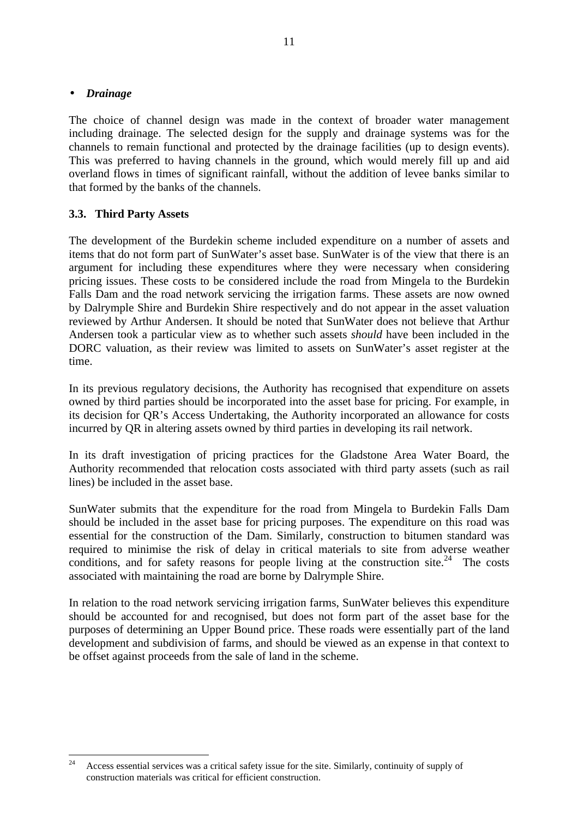#### • *Drainage*

The choice of channel design was made in the context of broader water management including drainage. The selected design for the supply and drainage systems was for the channels to remain functional and protected by the drainage facilities (up to design events). This was preferred to having channels in the ground, which would merely fill up and aid overland flows in times of significant rainfall, without the addition of levee banks similar to that formed by the banks of the channels.

# **3.3. Third Party Assets**

The development of the Burdekin scheme included expenditure on a number of assets and items that do not form part of SunWater's asset base. SunWater is of the view that there is an argument for including these expenditures where they were necessary when considering pricing issues. These costs to be considered include the road from Mingela to the Burdekin Falls Dam and the road network servicing the irrigation farms. These assets are now owned by Dalrymple Shire and Burdekin Shire respectively and do not appear in the asset valuation reviewed by Arthur Andersen. It should be noted that SunWater does not believe that Arthur Andersen took a particular view as to whether such assets *should* have been included in the DORC valuation, as their review was limited to assets on SunWater's asset register at the time.

In its previous regulatory decisions, the Authority has recognised that expenditure on assets owned by third parties should be incorporated into the asset base for pricing. For example, in its decision for QR's Access Undertaking, the Authority incorporated an allowance for costs incurred by QR in altering assets owned by third parties in developing its rail network.

In its draft investigation of pricing practices for the Gladstone Area Water Board, the Authority recommended that relocation costs associated with third party assets (such as rail lines) be included in the asset base.

SunWater submits that the expenditure for the road from Mingela to Burdekin Falls Dam should be included in the asset base for pricing purposes. The expenditure on this road was essential for the construction of the Dam. Similarly, construction to bitumen standard was required to minimise the risk of delay in critical materials to site from adverse weather conditions, and for safety reasons for people living at the construction site.<sup>24</sup> The costs associated with maintaining the road are borne by Dalrymple Shire.

In relation to the road network servicing irrigation farms, SunWater believes this expenditure should be accounted for and recognised, but does not form part of the asset base for the purposes of determining an Upper Bound price. These roads were essentially part of the land development and subdivision of farms, and should be viewed as an expense in that context to be offset against proceeds from the sale of land in the scheme.

<sup>24</sup> <sup>24</sup> Access essential services was a critical safety issue for the site. Similarly, continuity of supply of construction materials was critical for efficient construction.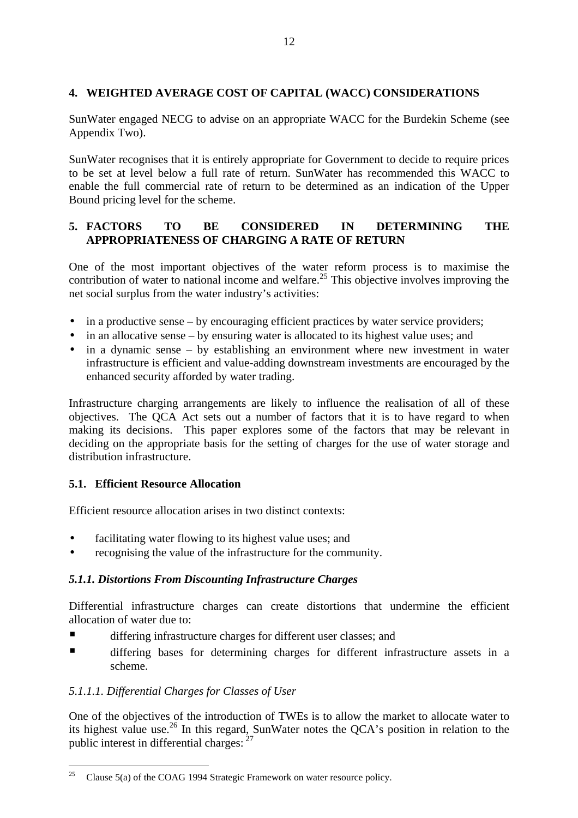# **4. WEIGHTED AVERAGE COST OF CAPITAL (WACC) CONSIDERATIONS**

SunWater engaged NECG to advise on an appropriate WACC for the Burdekin Scheme (see Appendix Two).

SunWater recognises that it is entirely appropriate for Government to decide to require prices to be set at level below a full rate of return. SunWater has recommended this WACC to enable the full commercial rate of return to be determined as an indication of the Upper Bound pricing level for the scheme.

# **5. FACTORS TO BE CONSIDERED IN DETERMINING THE APPROPRIATENESS OF CHARGING A RATE OF RETURN**

One of the most important objectives of the water reform process is to maximise the contribution of water to national income and welfare.<sup>25</sup> This objective involves improving the net social surplus from the water industry's activities:

- in a productive sense by encouraging efficient practices by water service providers;
- in an allocative sense by ensuring water is allocated to its highest value uses; and
- in a dynamic sense by establishing an environment where new investment in water infrastructure is efficient and value-adding downstream investments are encouraged by the enhanced security afforded by water trading.

Infrastructure charging arrangements are likely to influence the realisation of all of these objectives. The QCA Act sets out a number of factors that it is to have regard to when making its decisions. This paper explores some of the factors that may be relevant in deciding on the appropriate basis for the setting of charges for the use of water storage and distribution infrastructure.

## **5.1. Efficient Resource Allocation**

Efficient resource allocation arises in two distinct contexts:

- facilitating water flowing to its highest value uses; and
- recognising the value of the infrastructure for the community.

# *5.1.1. Distortions From Discounting Infrastructure Charges*

Differential infrastructure charges can create distortions that undermine the efficient allocation of water due to:

- ß differing infrastructure charges for different user classes; and
- Iffering bases for determining charges for different infrastructure assets in a scheme.

# *5.1.1.1. Differential Charges for Classes of User*

One of the objectives of the introduction of TWEs is to allow the market to allocate water to its highest value use.<sup>26</sup> In this regard, SunWater notes the QCA's position in relation to the public interest in differential charges: <sup>27</sup>

<sup>25</sup> Clause 5(a) of the COAG 1994 Strategic Framework on water resource policy.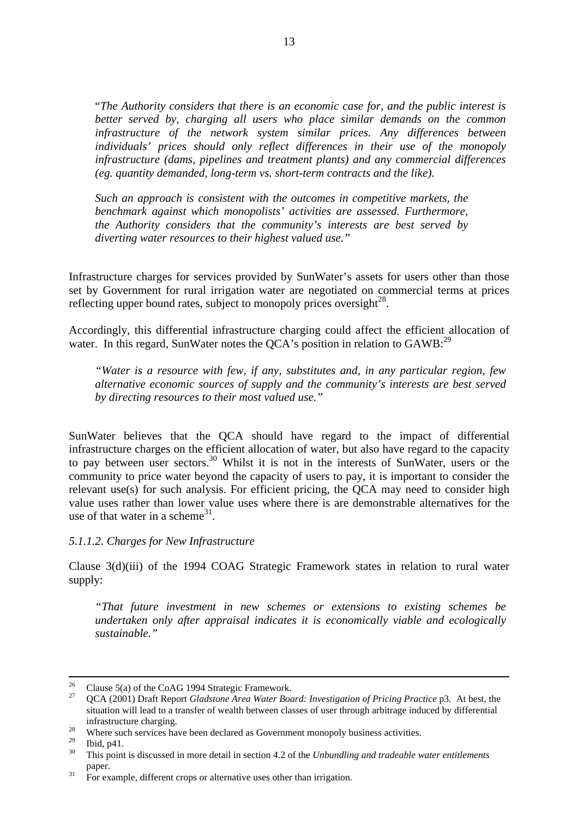"*The Authority considers that there is an economic case for, and the public interest is better served by, charging all users who place similar demands on the common infrastructure of the network system similar prices. Any differences between individuals' prices should only reflect differences in their use of the monopoly infrastructure (dams, pipelines and treatment plants) and any commercial differences (eg. quantity demanded, long-term vs. short-term contracts and the like).*

*Such an approach is consistent with the outcomes in competitive markets, the benchmark against which monopolists' activities are assessed. Furthermore, the Authority considers that the community's interests are best served by diverting water resources to their highest valued use."*

Infrastructure charges for services provided by SunWater's assets for users other than those set by Government for rural irrigation water are negotiated on commercial terms at prices reflecting upper bound rates, subject to monopoly prices oversight $^{28}$ .

Accordingly, this differential infrastructure charging could affect the efficient allocation of water. In this regard, SunWater notes the QCA's position in relation to  $GAWB$ :<sup>29</sup>

*"Water is a resource with few, if any, substitutes and, in any particular region, few alternative economic sources of supply and the community's interests are best served by directing resources to their most valued use."*

SunWater believes that the QCA should have regard to the impact of differential infrastructure charges on the efficient allocation of water, but also have regard to the capacity to pay between user sectors.<sup>30</sup> Whilst it is not in the interests of SunWater, users or the community to price water beyond the capacity of users to pay, it is important to consider the relevant use(s) for such analysis. For efficient pricing, the QCA may need to consider high value uses rather than lower value uses where there is are demonstrable alternatives for the use of that water in a scheme<sup>31</sup>.

#### *5.1.1.2. Charges for New Infrastructure*

Clause 3(d)(iii) of the 1994 COAG Strategic Framework states in relation to rural water supply:

*"That future investment in new schemes or extensions to existing schemes be undertaken only after appraisal indicates it is economically viable and ecologically sustainable."*

 $26$ <sup>26</sup> Clause 5(a) of the CoAG 1994 Strategic Framework.

<sup>27</sup> QCA (2001) Draft Report *Gladstone Area Water Board: Investigation of Pricing Practice* p3*.* At best, the situation will lead to a transfer of wealth between classes of user through arbitrage induced by differential infrastructure charging.

<sup>&</sup>lt;sup>28</sup> Where such services have been declared as Government monopoly business activities.

 $\frac{29}{30}$  Ibid, p41.

<sup>30</sup> This point is discussed in more detail in section 4.2 of the *Unbundling and tradeable water entitlements* paper.

 $31$  For example, different crops or alternative uses other than irrigation.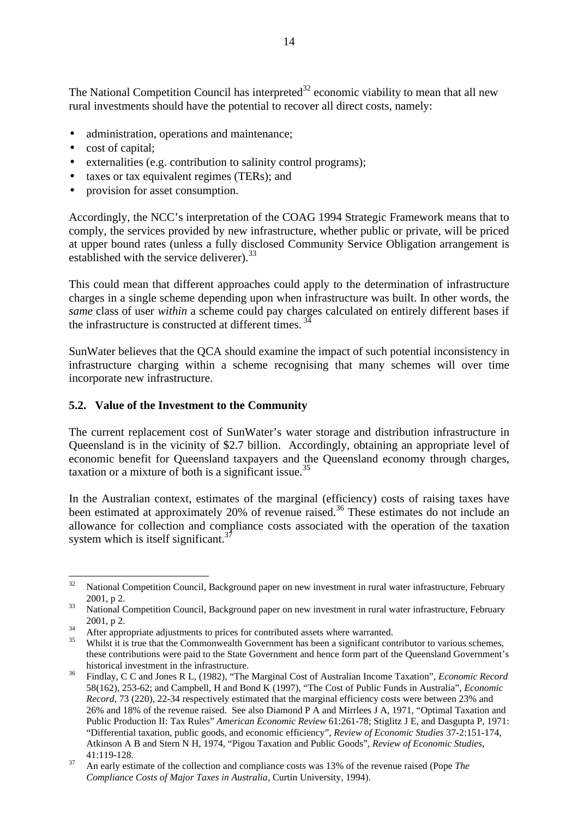The National Competition Council has interpreted<sup>32</sup> economic viability to mean that all new rural investments should have the potential to recover all direct costs, namely:

- administration, operations and maintenance;
- cost of capital:
- externalities (e.g. contribution to salinity control programs);
- taxes or tax equivalent regimes (TERs); and
- provision for asset consumption.

Accordingly, the NCC's interpretation of the COAG 1994 Strategic Framework means that to comply, the services provided by new infrastructure, whether public or private, will be priced at upper bound rates (unless a fully disclosed Community Service Obligation arrangement is established with the service deliverer).<sup>33</sup>

This could mean that different approaches could apply to the determination of infrastructure charges in a single scheme depending upon when infrastructure was built. In other words, the *same* class of user *within* a scheme could pay charges calculated on entirely different bases if the infrastructure is constructed at different times.<sup>34</sup>

SunWater believes that the QCA should examine the impact of such potential inconsistency in infrastructure charging within a scheme recognising that many schemes will over time incorporate new infrastructure.

#### **5.2. Value of the Investment to the Community**

The current replacement cost of SunWater's water storage and distribution infrastructure in Queensland is in the vicinity of \$2.7 billion. Accordingly, obtaining an appropriate level of economic benefit for Queensland taxpayers and the Queensland economy through charges, taxation or a mixture of both is a significant issue.<sup>35</sup>

In the Australian context, estimates of the marginal (efficiency) costs of raising taxes have been estimated at approximately 20% of revenue raised.<sup>36</sup> These estimates do not include an allowance for collection and compliance costs associated with the operation of the taxation system which is itself significant.<sup>37</sup>

<sup>32</sup> National Competition Council, Background paper on new investment in rural water infrastructure, February 2001, p 2.

<sup>&</sup>lt;sup>33</sup> National Competition Council, Background paper on new investment in rural water infrastructure, February 2001, p 2.

 $34$  After appropriate adjustments to prices for contributed assets where warranted.

Whilst it is true that the Commonwealth Government has been a significant contributor to various schemes, these contributions were paid to the State Government and hence form part of the Queensland Government's historical investment in the infrastructure.

<sup>36</sup> Findlay, C C and Jones R L, (1982), "The Marginal Cost of Australian Income Taxation", *Economic Record* 58(162), 253-62; and Campbell, H and Bond K (1997), "The Cost of Public Funds in Australia", *Economic Record*, 73 (220), 22-34 respectively estimated that the marginal efficiency costs were between 23% and 26% and 18% of the revenue raised. See also Diamond P A and Mirrlees J A, 1971, "Optimal Taxation and Public Production II: Tax Rules" *American Economic Review* 61:261-78; Stiglitz J E, and Dasgupta P, 1971: "Differential taxation, public goods, and economic efficiency", *Review of Economic Studies* 37-2:151-174, Atkinson A B and Stern N H, 1974, "Pigou Taxation and Public Goods", *Review of Economic Studies,* 41:119-128.

<sup>37</sup> An early estimate of the collection and compliance costs was 13% of the revenue raised (Pope *The Compliance Costs of Major Taxes in Australia*, Curtin University, 1994).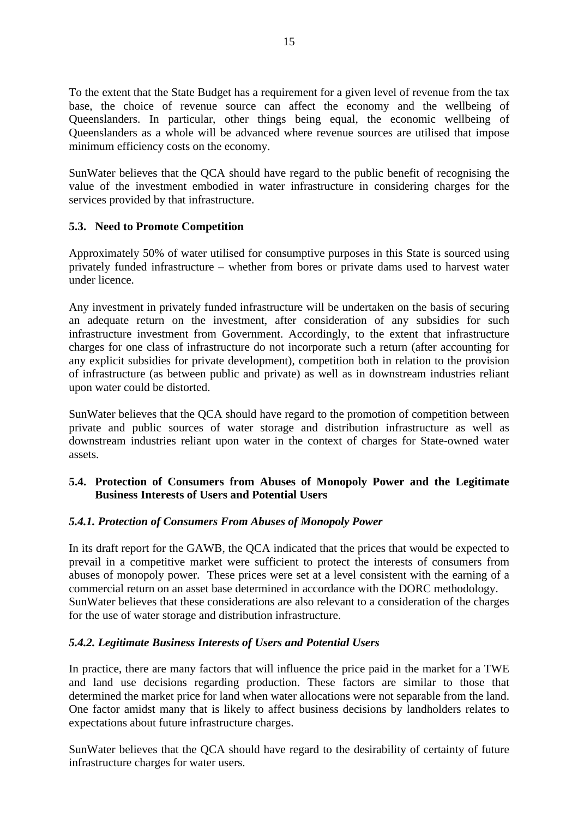To the extent that the State Budget has a requirement for a given level of revenue from the tax base, the choice of revenue source can affect the economy and the wellbeing of Queenslanders. In particular, other things being equal, the economic wellbeing of Queenslanders as a whole will be advanced where revenue sources are utilised that impose minimum efficiency costs on the economy.

SunWater believes that the QCA should have regard to the public benefit of recognising the value of the investment embodied in water infrastructure in considering charges for the services provided by that infrastructure.

# **5.3. Need to Promote Competition**

Approximately 50% of water utilised for consumptive purposes in this State is sourced using privately funded infrastructure – whether from bores or private dams used to harvest water under licence.

Any investment in privately funded infrastructure will be undertaken on the basis of securing an adequate return on the investment, after consideration of any subsidies for such infrastructure investment from Government. Accordingly, to the extent that infrastructure charges for one class of infrastructure do not incorporate such a return (after accounting for any explicit subsidies for private development), competition both in relation to the provision of infrastructure (as between public and private) as well as in downstream industries reliant upon water could be distorted.

SunWater believes that the QCA should have regard to the promotion of competition between private and public sources of water storage and distribution infrastructure as well as downstream industries reliant upon water in the context of charges for State-owned water assets.

# **5.4. Protection of Consumers from Abuses of Monopoly Power and the Legitimate Business Interests of Users and Potential Users**

## *5.4.1. Protection of Consumers From Abuses of Monopoly Power*

In its draft report for the GAWB, the QCA indicated that the prices that would be expected to prevail in a competitive market were sufficient to protect the interests of consumers from abuses of monopoly power. These prices were set at a level consistent with the earning of a commercial return on an asset base determined in accordance with the DORC methodology. SunWater believes that these considerations are also relevant to a consideration of the charges for the use of water storage and distribution infrastructure.

# *5.4.2. Legitimate Business Interests of Users and Potential Users*

In practice, there are many factors that will influence the price paid in the market for a TWE and land use decisions regarding production. These factors are similar to those that determined the market price for land when water allocations were not separable from the land. One factor amidst many that is likely to affect business decisions by landholders relates to expectations about future infrastructure charges.

SunWater believes that the QCA should have regard to the desirability of certainty of future infrastructure charges for water users.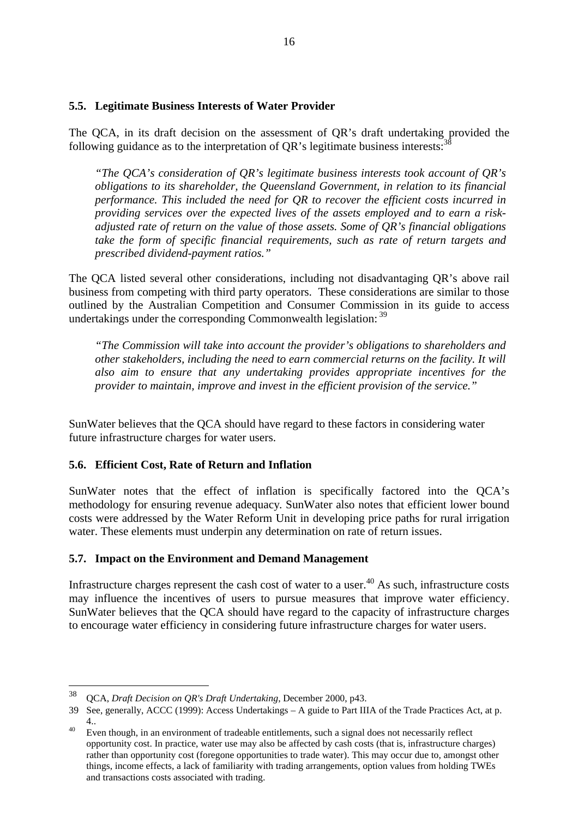#### **5.5. Legitimate Business Interests of Water Provider**

The QCA, in its draft decision on the assessment of QR's draft undertaking provided the following guidance as to the interpretation of  $OR$ 's legitimate business interests:  $38$ 

*"The QCA's consideration of QR's legitimate business interests took account of QR's obligations to its shareholder, the Queensland Government, in relation to its financial performance. This included the need for QR to recover the efficient costs incurred in providing services over the expected lives of the assets employed and to earn a riskadjusted rate of return on the value of those assets. Some of QR's financial obligations take the form of specific financial requirements, such as rate of return targets and prescribed dividend-payment ratios."*

The QCA listed several other considerations, including not disadvantaging QR's above rail business from competing with third party operators. These considerations are similar to those outlined by the Australian Competition and Consumer Commission in its guide to access undertakings under the corresponding Commonwealth legislation: <sup>39</sup>

*"The Commission will take into account the provider's obligations to shareholders and other stakeholders, including the need to earn commercial returns on the facility. It will also aim to ensure that any undertaking provides appropriate incentives for the provider to maintain, improve and invest in the efficient provision of the service."*

SunWater believes that the QCA should have regard to these factors in considering water future infrastructure charges for water users.

## **5.6. Efficient Cost, Rate of Return and Inflation**

SunWater notes that the effect of inflation is specifically factored into the QCA's methodology for ensuring revenue adequacy. SunWater also notes that efficient lower bound costs were addressed by the Water Reform Unit in developing price paths for rural irrigation water. These elements must underpin any determination on rate of return issues.

## **5.7. Impact on the Environment and Demand Management**

Infrastructure charges represent the cash cost of water to a user.<sup>40</sup> As such, infrastructure costs may influence the incentives of users to pursue measures that improve water efficiency. SunWater believes that the QCA should have regard to the capacity of infrastructure charges to encourage water efficiency in considering future infrastructure charges for water users.

 $\overline{a}$ 

<sup>38</sup> QCA, *Draft Decision on QR's Draft Undertaking*, December 2000, p43.

<sup>39</sup> See, generally, ACCC (1999): Access Undertakings – A guide to Part IIIA of the Trade Practices Act, at p. 4..

<sup>&</sup>lt;sup>40</sup> Even though, in an environment of tradeable entitlements, such a signal does not necessarily reflect opportunity cost. In practice, water use may also be affected by cash costs (that is, infrastructure charges) rather than opportunity cost (foregone opportunities to trade water). This may occur due to, amongst other things, income effects, a lack of familiarity with trading arrangements, option values from holding TWEs and transactions costs associated with trading.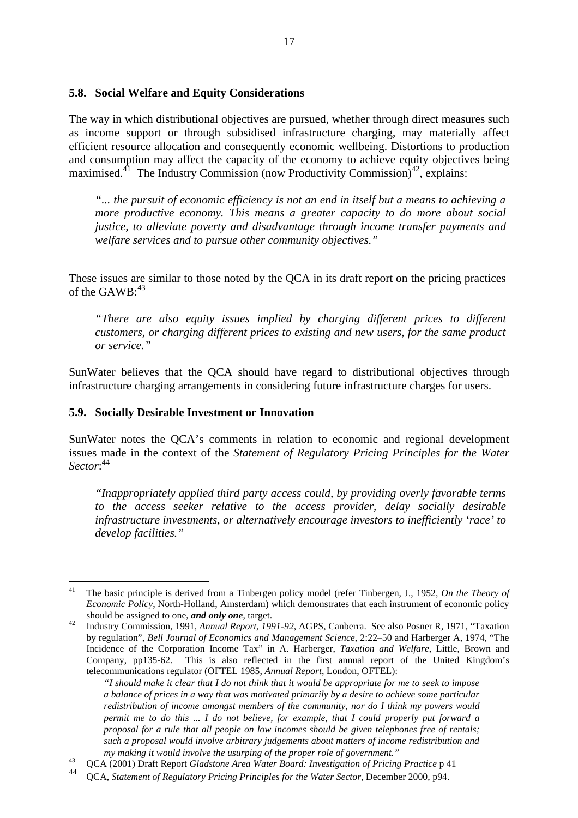#### **5.8. Social Welfare and Equity Considerations**

The way in which distributional objectives are pursued, whether through direct measures such as income support or through subsidised infrastructure charging, may materially affect efficient resource allocation and consequently economic wellbeing. Distortions to production and consumption may affect the capacity of the economy to achieve equity objectives being maximised.<sup>41</sup> The Industry Commission (now Productivity Commission)<sup>42</sup>, explains:

*"... the pursuit of economic efficiency is not an end in itself but a means to achieving a more productive economy. This means a greater capacity to do more about social justice, to alleviate poverty and disadvantage through income transfer payments and welfare services and to pursue other community objectives."*

These issues are similar to those noted by the QCA in its draft report on the pricing practices of the  $GAWB:^{43}$ 

*"There are also equity issues implied by charging different prices to different customers, or charging different prices to existing and new users, for the same product or service."*

SunWater believes that the QCA should have regard to distributional objectives through infrastructure charging arrangements in considering future infrastructure charges for users.

#### **5.9. Socially Desirable Investment or Innovation**

SunWater notes the QCA's comments in relation to economic and regional development issues made in the context of the *Statement of Regulatory Pricing Principles for the Water Sector*: 44

*"Inappropriately applied third party access could, by providing overly favorable terms to the access seeker relative to the access provider, delay socially desirable infrastructure investments, or alternatively encourage investors to inefficiently 'race' to develop facilities."*

*"I should make it clear that I do not think that it would be appropriate for me to seek to impose a balance of prices in a way that was motivated primarily by a desire to achieve some particular redistribution of income amongst members of the community, nor do I think my powers would permit me to do this ... I do not believe, for example, that I could properly put forward a proposal for a rule that all people on low incomes should be given telephones free of rentals; such a proposal would involve arbitrary judgements about matters of income redistribution and my making it would involve the usurping of the proper role of government."*

 $\overline{a}$ <sup>41</sup> The basic principle is derived from a Tinbergen policy model (refer Tinbergen, J., 1952, *On the Theory of Economic Policy*, North-Holland, Amsterdam) which demonstrates that each instrument of economic policy should be assigned to one, *and only one*, target.

<sup>42</sup> Industry Commission, 1991, *Annual Report, 1991-92*, AGPS, Canberra. See also Posner R, 1971, "Taxation by regulation", *Bell Journal of Economics and Management Science*, 2:22–50 and Harberger A, 1974, "The Incidence of the Corporation Income Tax" in A. Harberger, *Taxation and Welfare*, Little, Brown and Company, pp135-62. This is also reflected in the first annual report of the United Kingdom's telecommunications regulator (OFTEL 1985, *Annual Report*, London, OFTEL):

<sup>43</sup> QCA (2001) Draft Report *Gladstone Area Water Board: Investigation of Pricing Practice* p 41

<sup>44</sup> QCA, *Statement of Regulatory Pricing Principles for the Water Sector*, December 2000, p94.